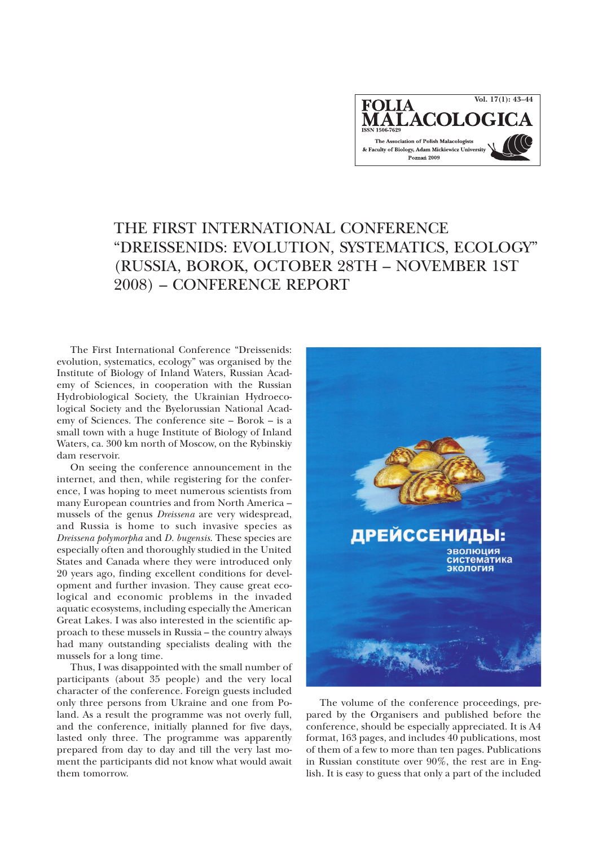

## THE FIRST INTERNATIONAL CONFERENCE "DREISSENIDS: EVOLUTION, SYSTEMATICS, ECOLOGY" (RUSSIA, BOROK, OCTOBER 28TH – NOVEMBER 1ST 2008) – CONFERENCE REPORT

The First International Conference "Dreissenids: evolution, systematics, ecology" was organised by the Institute of Biology of Inland Waters, Russian Academy of Sciences, in cooperation with the Russian Hydrobiological Society, the Ukrainian Hydroecological Society and the Byelorussian National Academy of Sciences. The conference site – Borok – is a small town with a huge Institute of Biology of Inland Waters, ca. 300 km north of Moscow, on the Rybinskiy dam reservoir.

On seeing the conference announcement in the internet, and then, while registering for the conference, I was hoping to meet numerous scientists from many European countries and from North America – mussels of the genus *Dreissena* are very widespread, and Russia is home to such invasive species as *Dreissena polymorpha* and *D. bugensis*. These species are especially often and thoroughly studied in the United States and Canada where they were introduced only 20 years ago, finding excellent conditions for development and further invasion. They cause great ecological and economic problems in the invaded aquatic ecosystems, including especially the American Great Lakes. I was also interested in the scientific approach to these mussels in Russia – the country always had many outstanding specialists dealing with the mussels for a long time.

Thus, I was disappointed with the small number of participants (about 35 people) and the very local character of the conference. Foreign guests included only three persons from Ukraine and one from Poland. As a result the programme was not overly full, and the conference, initially planned for five days, lasted only three. The programme was apparently prepared from day to day and till the very last moment the participants did not know what would await them tomorrow.



The volume of the conference proceedings, prepared by the Organisers and published before the conference, should be especially appreciated. It is A4 format, 163 pages, and includes 40 publications, most of them of a few to more than ten pages. Publications in Russian constitute over 90%, the rest are in English. It is easy to guess that only a part of the included